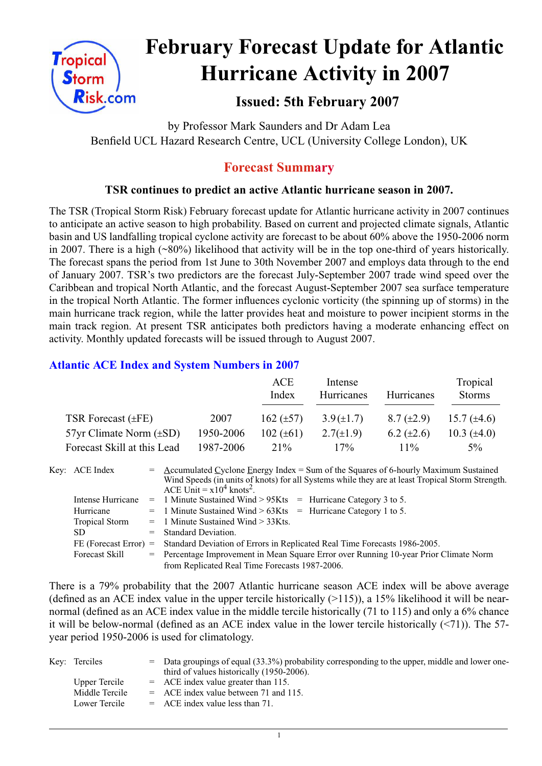

# **February Forecast Update for Atlantic Hurricane Activity in 2007**

# **Issued: 5th February 2007**

by Professor Mark Saunders and Dr Adam Lea Benfield UCL Hazard Research Centre, UCL (University College London), UK

# **Forecast Summary**

## **TSR continues to predict an active Atlantic hurricane season in 2007.**

The TSR (Tropical Storm Risk) February forecast update for Atlantic hurricane activity in 2007 continues to anticipate an active season to high probability. Based on current and projected climate signals, Atlantic basin and US landfalling tropical cyclone activity are forecast to be about 60% above the 1950-2006 norm in 2007. There is a high (~80%) likelihood that activity will be in the top one-third of years historically. The forecast spans the period from 1st June to 30th November 2007 and employs data through to the end of January 2007. TSR's two predictors are the forecast July-September 2007 trade wind speed over the Caribbean and tropical North Atlantic, and the forecast August-September 2007 sea surface temperature in the tropical North Atlantic. The former influences cyclonic vorticity (the spinning up of storms) in the main hurricane track region, while the latter provides heat and moisture to power incipient storms in the main track region. At present TSR anticipates both predictors having a moderate enhancing effect on activity. Monthly updated forecasts will be issued through to August 2007.

## **Atlantic ACE Index and System Numbers in 2007**

|                                |           | ACE<br>Index   | Intense<br>Hurricanes | Hurricanes        | Tropical<br><b>Storms</b> |
|--------------------------------|-----------|----------------|-----------------------|-------------------|---------------------------|
| TSR Forecast $(\pm FE)$        | 2007      | 162 $(\pm 57)$ | $3.9(\pm 1.7)$        | $8.7 \ (\pm 2.9)$ | 15.7 $(\pm 4.6)$          |
| $57yr$ Climate Norm $(\pm SD)$ | 1950-2006 | 102 $(\pm 61)$ | $2.7(\pm 1.9)$        | $6.2 \ (\pm 2.6)$ | 10.3 $(\pm 4.0)$          |
| Forecast Skill at this Lead    | 1987-2006 | $21\%$         | $17\%$                | $11\%$            | $5\%$                     |

| Key: ACE Index          | $=$ Accumulated Cyclone Energy Index = Sum of the Squares of 6-hourly Maximum Sustained<br>Wind Speeds (in units of knots) for all Systems while they are at least Tropical Storm Strength.<br>ACE Unit = $x10^4$ knots <sup>2</sup> . |  |  |  |  |
|-------------------------|----------------------------------------------------------------------------------------------------------------------------------------------------------------------------------------------------------------------------------------|--|--|--|--|
| Intense Hurricane       | $=$ 1 Minute Sustained Wind > 95Kts $=$ Hurricane Category 3 to 5.                                                                                                                                                                     |  |  |  |  |
| Hurricane               | $=$ 1 Minute Sustained Wind > 63Kts = Hurricane Category 1 to 5.                                                                                                                                                                       |  |  |  |  |
| <b>Tropical Storm</b>   | $=$ 1 Minute Sustained Wind $>$ 33Kts.                                                                                                                                                                                                 |  |  |  |  |
| SD.                     | $=$ Standard Deviation.                                                                                                                                                                                                                |  |  |  |  |
| $FE$ (Forecast Error) = | Standard Deviation of Errors in Replicated Real Time Forecasts 1986-2005.                                                                                                                                                              |  |  |  |  |
| <b>Forecast Skill</b>   | = Percentage Improvement in Mean Square Error over Running 10-year Prior Climate Norm                                                                                                                                                  |  |  |  |  |
|                         | from Replicated Real Time Forecasts 1987-2006.                                                                                                                                                                                         |  |  |  |  |

There is a 79% probability that the 2007 Atlantic hurricane season ACE index will be above average (defined as an ACE index value in the upper tercile historically  $(>115)$ ), a 15% likelihood it will be nearnormal (defined as an ACE index value in the middle tercile historically (71 to 115) and only a 6% chance it will be below-normal (defined as an ACE index value in the lower tercile historically (<71)). The 57 year period 1950-2006 is used for climatology.

| Key: Terciles  | $=$ Data groupings of equal (33.3%) probability corresponding to the upper, middle and lower one-<br>third of values historically (1950-2006). |
|----------------|------------------------------------------------------------------------------------------------------------------------------------------------|
| Upper Tercile  | $=$ ACE index value greater than 115.                                                                                                          |
| Middle Tercile | $=$ ACE index value between 71 and 115.                                                                                                        |
| Lower Tercile  | $=$ ACE index value less than 71.                                                                                                              |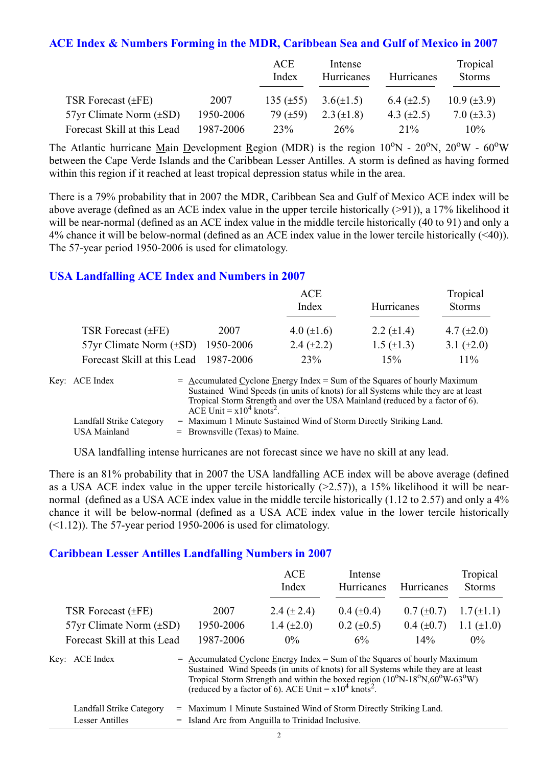#### **ACE Index & Numbers Forming in the MDR, Caribbean Sea and Gulf of Mexico in 2007**

|                                |           | ACE<br>Index   | Intense<br>Hurricanes | Hurricanes      | Tropical<br><b>Storms</b> |
|--------------------------------|-----------|----------------|-----------------------|-----------------|---------------------------|
| TSR Forecast $(\pm FE)$        | 2007      | 135 $(\pm 55)$ | $3.6(\pm 1.5)$        | 6.4 $(\pm 2.5)$ | $10.9 \ (\pm 3.9)$        |
| $57yr$ Climate Norm $(\pm SD)$ | 1950-2006 | 79 $(\pm 59)$  | $2.3 (\pm 1.8)$       | 4.3 $(\pm 2.5)$ | 7.0 $(\pm 3.3)$           |
| Forecast Skill at this Lead    | 1987-2006 | 23%            | 26%                   | 21%             | $10\%$                    |

The Atlantic hurricane Main Development Region (MDR) is the region  $10^{\circ}$ N -  $20^{\circ}$ N,  $20^{\circ}$ W -  $60^{\circ}$ W between the Cape Verde Islands and the Caribbean Lesser Antilles. A storm is defined as having formed within this region if it reached at least tropical depression status while in the area.

There is a 79% probability that in 2007 the MDR, Caribbean Sea and Gulf of Mexico ACE index will be above average (defined as an ACE index value in the upper tercile historically (>91)), a 17% likelihood it will be near-normal (defined as an ACE index value in the middle tercile historically (40 to 91) and only a 4% chance it will be below-normal (defined as an ACE index value in the lower tercile historically (<40)). The 57-year period 1950-2006 is used for climatology.

#### **USA Landfalling ACE Index and Numbers in 2007**

|                                        |      | ACE<br>Index      | Hurricanes      | Tropical<br><b>Storms</b> |
|----------------------------------------|------|-------------------|-----------------|---------------------------|
| TSR Forecast $(\pm FE)$                | 2007 | 4.0 $(\pm 1.6)$   | 2.2 $(\pm 1.4)$ | 4.7 $(\pm 2.0)$           |
| 57yr Climate Norm $(\pm SD)$ 1950-2006 |      | $2.4 \ (\pm 2.2)$ | 1.5 $(\pm 1.3)$ | 3.1 $(\pm 2.0)$           |
| Forecast Skill at this Lead 1987-2006  |      | 23%               | 15%             | $11\%$                    |

| Key: ACE Index           | $=$ Accumulated Cyclone Energy Index $=$ Sum of the Squares of hourly Maximum     |
|--------------------------|-----------------------------------------------------------------------------------|
|                          | Sustained Wind Speeds (in units of knots) for all Systems while they are at least |
|                          | Tropical Storm Strength and over the USA Mainland (reduced by a factor of 6).     |
|                          | ACE Unit = $x10^4$ knots <sup>2</sup> .                                           |
| Landfall Strike Category | = Maximum 1 Minute Sustained Wind of Storm Directly Striking Land.                |
| <b>USA Mainland</b>      | $=$ Brownsville (Texas) to Maine.                                                 |

USA landfalling intense hurricanes are not forecast since we have no skill at any lead.

There is an 81% probability that in 2007 the USA landfalling ACE index will be above average (defined as a USA ACE index value in the upper tercile historically  $(>2.57)$ ), a 15% likelihood it will be nearnormal (defined as a USA ACE index value in the middle tercile historically (1.12 to 2.57) and only a 4% chance it will be below-normal (defined as a USA ACE index value in the lower tercile historically  $(\leq 1.12)$ ). The 57-year period 1950-2006 is used for climatology.

#### **Caribbean Lesser Antilles Landfalling Numbers in 2007**

|                                                                                                                                                                                                                                                                                                                                                                      |           | ACE<br>Index    | Intense<br>Hurricanes | Hurricanes      | Tropical<br><b>Storms</b> |
|----------------------------------------------------------------------------------------------------------------------------------------------------------------------------------------------------------------------------------------------------------------------------------------------------------------------------------------------------------------------|-----------|-----------------|-----------------------|-----------------|---------------------------|
| TSR Forecast $(\pm FE)$                                                                                                                                                                                                                                                                                                                                              | 2007      | 2.4 $(\pm 2.4)$ | $0.4~(\pm 0.4)$       | $0.7 (\pm 0.7)$ | $1.7(\pm 1.1)$            |
| $57yr$ Climate Norm $(\pm SD)$                                                                                                                                                                                                                                                                                                                                       | 1950-2006 | 1.4 $(\pm 2.0)$ | $0.2 \ (\pm 0.5)$     | $0.4~(\pm 0.7)$ | 1.1 $(\pm 1.0)$           |
| Forecast Skill at this Lead                                                                                                                                                                                                                                                                                                                                          | 1987-2006 | $0\%$           | 6%                    | $14\%$          | $0\%$                     |
| Key: ACE Index<br>$=$ Accumulated Cyclone Energy Index = Sum of the Squares of hourly Maximum<br>Sustained Wind Speeds (in units of knots) for all Systems while they are at least<br>Tropical Storm Strength and within the boxed region $(10^{\circ}N-18^{\circ}N,60^{\circ}W-63^{\circ}W)$<br>(reduced by a factor of 6). ACE Unit = $x10^4$ knots <sup>2</sup> . |           |                 |                       |                 |                           |

| Landfall Strike Category | = Maximum 1 Minute Sustained Wind of Storm Directly Striking Land. |
|--------------------------|--------------------------------------------------------------------|
| Lesser Antilles          | = Island Arc from Anguilla to Trinidad Inclusive.                  |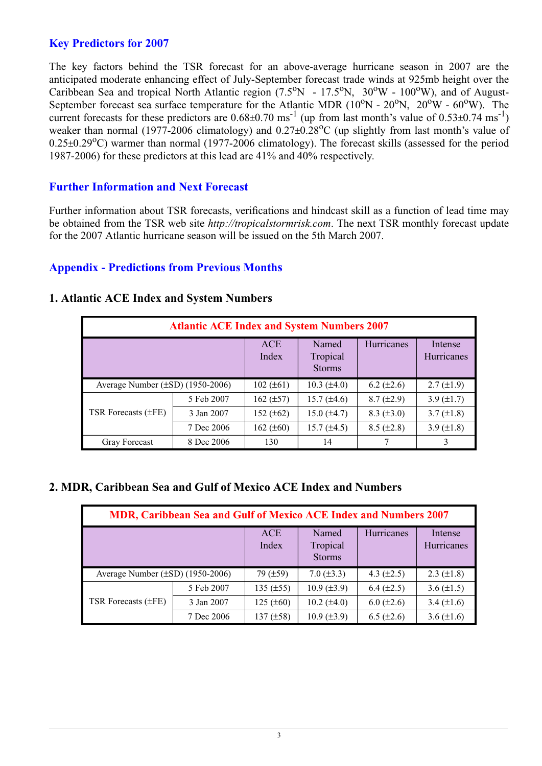## **Key Predictors for 2007**

The key factors behind the TSR forecast for an above-average hurricane season in 2007 are the anticipated moderate enhancing effect of July-September forecast trade winds at 925mb height over the Caribbean Sea and tropical North Atlantic region  $(7.5^{\circ}N - 17.5^{\circ}N, 30^{\circ}W - 100^{\circ}W)$ , and of August-September forecast sea surface temperature for the Atlantic MDR ( $10^{\circ}$ N -  $20^{\circ}$ N,  $20^{\circ}$ W -  $60^{\circ}$ W). The current forecasts for these predictors are  $0.68\pm0.70$  ms<sup>-1</sup> (up from last month's value of  $0.53\pm0.74$  ms<sup>-1</sup>) weaker than normal (1977-2006 climatology) and  $0.27\pm0.28^{\circ}$ C (up slightly from last month's value of  $0.25\pm0.29$ °C) warmer than normal (1977-2006 climatology). The forecast skills (assessed for the period 1987-2006) for these predictors at this lead are 41% and 40% respectively.

## **Further Information and Next Forecast**

Further information about TSR forecasts, verifications and hindcast skill as a function of lead time may be obtained from the TSR web site *http://tropicalstormrisk.com*. The next TSR monthly forecast update for the 2007 Atlantic hurricane season will be issued on the 5th March 2007.

#### **Appendix - Predictions from Previous Months**

| <b>Atlantic ACE Index and System Numbers 2007</b> |            |                     |                                    |                 |                       |  |  |
|---------------------------------------------------|------------|---------------------|------------------------------------|-----------------|-----------------------|--|--|
|                                                   |            | <b>ACE</b><br>Index | Named<br>Tropical<br><b>Storms</b> | Hurricanes      | Intense<br>Hurricanes |  |  |
| Average Number $(\pm SD)$ (1950-2006)             |            | $102 (\pm 61)$      | $10.3 \ (\pm 4.0)$                 | $6.2 (\pm 2.6)$ | $2.7 (\pm 1.9)$       |  |  |
|                                                   | 5 Feb 2007 | $162 (\pm 57)$      | $15.7 (\pm 4.6)$                   | $8.7 (\pm 2.9)$ | 3.9 $(\pm 1.7)$       |  |  |
| TSR Forecasts $(\pm FE)$                          | 3 Jan 2007 | 152 $(\pm 62)$      | $15.0 (\pm 4.7)$                   | $8.3 (\pm 3.0)$ | $3.7 (\pm 1.8)$       |  |  |
|                                                   | 7 Dec 2006 | 162 $(\pm 60)$      | 15.7 $(\pm 4.5)$                   | $8.5 (\pm 2.8)$ | 3.9 $(\pm 1.8)$       |  |  |
| Gray Forecast                                     | 8 Dec 2006 | 130                 | 14                                 |                 |                       |  |  |

#### **1. Atlantic ACE Index and System Numbers**

## **2. MDR, Caribbean Sea and Gulf of Mexico ACE Index and Numbers**

| MDR, Caribbean Sea and Gulf of Mexico ACE Index and Numbers 2007 |                     |                                    |                    |                       |                   |  |  |
|------------------------------------------------------------------|---------------------|------------------------------------|--------------------|-----------------------|-------------------|--|--|
|                                                                  | <b>ACE</b><br>Index | Named<br>Tropical<br><b>Storms</b> | Hurricanes         | Intense<br>Hurricanes |                   |  |  |
| Average Number $(\pm SD)$ (1950-2006)                            |                     | $79$ ( $\pm 59$ )                  | 7.0 $(\pm 3.3)$    | 4.3 $(\pm 2.5)$       | $2.3 \ (\pm 1.8)$ |  |  |
|                                                                  | 5 Feb 2007          | 135 $(\pm 55)$                     | $10.9 \ (\pm 3.9)$ | $6.4 (\pm 2.5)$       | 3.6 $(\pm 1.5)$   |  |  |
| TSR Forecasts $(\pm FE)$                                         | 3 Jan 2007          | $125 (\pm 60)$                     | $10.2 (\pm 4.0)$   | $6.0 (\pm 2.6)$       | 3.4 $(\pm 1.6)$   |  |  |
|                                                                  | 7 Dec 2006          | 137 $(\pm 58)$                     | $10.9 \ (\pm 3.9)$ | $6.5 (\pm 2.6)$       | $3.6 (\pm 1.6)$   |  |  |